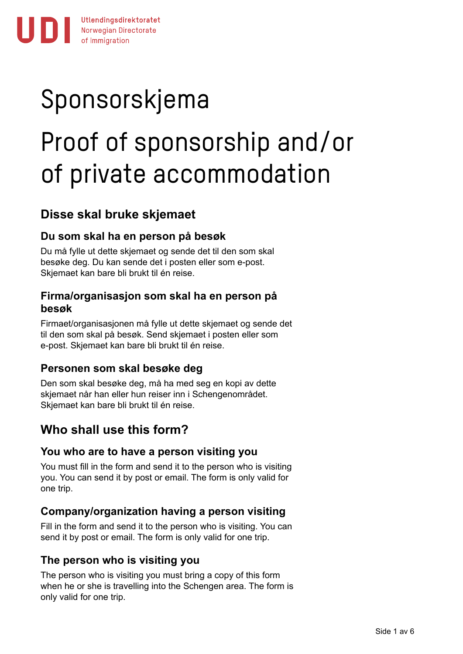# Sponsorskjema

# Proof of sponsorship and/or of private accommodation

# **Disse skal bruke skjemaet**

### **Du som skal ha en person på besøk**

Du må fylle ut dette skjemaet og sende det til den som skal besøke deg. Du kan sende det i posten eller som e-post. Skjemaet kan bare bli brukt til én reise.

#### **Firma/organisasjon som skal ha en person på besøk**

Firmaet/organisasjonen må fylle ut dette skjemaet og sende det til den som skal på besøk. Send skjemaet i posten eller som e-post. Skjemaet kan bare bli brukt til én reise.

#### **Personen som skal besøke deg**

Den som skal besøke deg, må ha med seg en kopi av dette skjemaet når han eller hun reiser inn i Schengenområdet. Skjemaet kan bare bli brukt til én reise.

# **Who shall use this form?**

#### **You who are to have a person visiting you**

You must fill in the form and send it to the person who is visiting you. You can send it by post or email. The form is only valid for one trip.

#### **Company/organization having a person visiting**

Fill in the form and send it to the person who is visiting. You can send it by post or email. The form is only valid for one trip.

#### **The person who is visiting you**

The person who is visiting you must bring a copy of this form when he or she is travelling into the Schengen area. The form is only valid for one trip.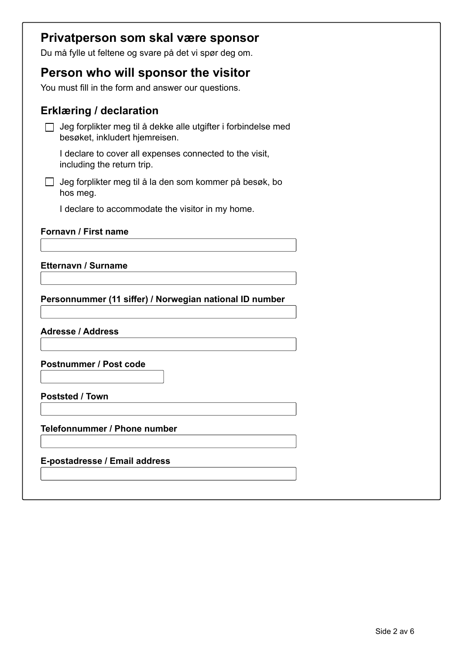| Privatperson som skal være sponsor                                                               |  |
|--------------------------------------------------------------------------------------------------|--|
| Du må fylle ut feltene og svare på det vi spør deg om.                                           |  |
| Person who will sponsor the visitor                                                              |  |
| You must fill in the form and answer our questions.                                              |  |
|                                                                                                  |  |
| <b>Erklæring / declaration</b>                                                                   |  |
| Jeg forplikter meg til å dekke alle utgifter i forbindelse med<br>besøket, inkludert hjemreisen. |  |
| I declare to cover all expenses connected to the visit,<br>including the return trip.            |  |
| Jeg forplikter meg til å la den som kommer på besøk, bo<br>hos meg.                              |  |
| I declare to accommodate the visitor in my home.                                                 |  |
| Fornavn / First name<br><b>Etternavn / Surname</b>                                               |  |
| Personnummer (11 siffer) / Norwegian national ID number                                          |  |
| <b>Adresse / Address</b>                                                                         |  |
| <b>Postnummer / Post code</b>                                                                    |  |
| <b>Poststed / Town</b>                                                                           |  |
| Telefonnummer / Phone number                                                                     |  |
| E-postadresse / Email address                                                                    |  |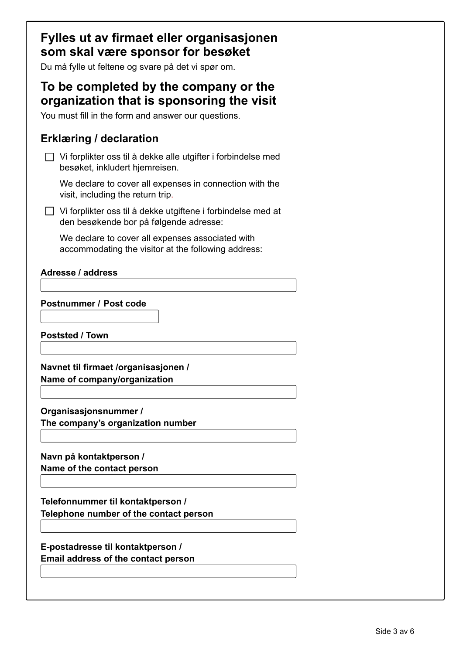| Fylles ut av firmaet eller organisasjonen<br>som skal være sponsor for besøket<br>Du må fylle ut feltene og svare på det vi spør om.      |  |
|-------------------------------------------------------------------------------------------------------------------------------------------|--|
| To be completed by the company or the<br>organization that is sponsoring the visit<br>You must fill in the form and answer our questions. |  |
| <b>Erklæring / declaration</b>                                                                                                            |  |
| Vi forplikter oss til å dekke alle utgifter i forbindelse med<br>besøket, inkludert hjemreisen.                                           |  |
| We declare to cover all expenses in connection with the<br>visit, including the return trip.                                              |  |
| Vi forplikter oss til å dekke utgiftene i forbindelse med at<br>den besøkende bor på følgende adresse:                                    |  |
| We declare to cover all expenses associated with<br>accommodating the visitor at the following address:                                   |  |
| <b>Adresse / address</b>                                                                                                                  |  |
|                                                                                                                                           |  |
| <b>Postnummer / Post code</b>                                                                                                             |  |
|                                                                                                                                           |  |
| <b>Poststed / Town</b>                                                                                                                    |  |
|                                                                                                                                           |  |
| Navnet til firmaet /organisasjonen /                                                                                                      |  |
| Name of company/organization                                                                                                              |  |
|                                                                                                                                           |  |
|                                                                                                                                           |  |
| Organisasjonsnummer /                                                                                                                     |  |
| The company's organization number                                                                                                         |  |
|                                                                                                                                           |  |
| Navn på kontaktperson /                                                                                                                   |  |
| Name of the contact person                                                                                                                |  |
|                                                                                                                                           |  |
|                                                                                                                                           |  |
| Telefonnummer til kontaktperson /<br>Telephone number of the contact person                                                               |  |
|                                                                                                                                           |  |
|                                                                                                                                           |  |
| E-postadresse til kontaktperson /                                                                                                         |  |
| Email address of the contact person                                                                                                       |  |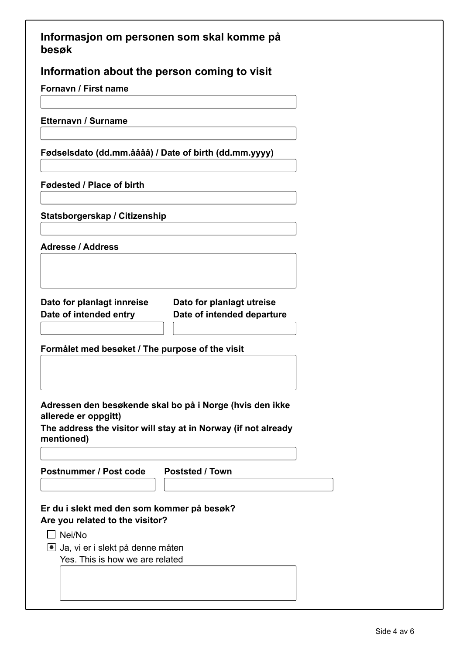| Informasjon om personen som skal komme på |  |  |  |
|-------------------------------------------|--|--|--|
| besøk                                     |  |  |  |

**Information about the person coming to visit**

**Fornavn / First name**

**Etternavn / Surname**

**Fødselsdato (dd.mm.åååå) / Date of birth (dd.mm.yyyy)**

**Fødested / Place of birth**

**Statsborgerskap / Citizenship**

**Adresse / Address**

**Dato for planlagt innreise Date of intended entry**

**Dato for planlagt utreise Date of intended departure**

**Formålet med besøket / The purpose of the visit**

**Adressen den besøkende skal bo på i Norge (hvis den ikke allerede er oppgitt)**

**The address the visitor will stay at in Norway (if not already mentioned)**

**Postnummer / Post code Poststed / Town**

**Er du i slekt med den som kommer på besøk? Are you related to the visitor?**

 $\Box$  Nei/No

Ja, vi er i slekt på denne måten Yes. This is how we are related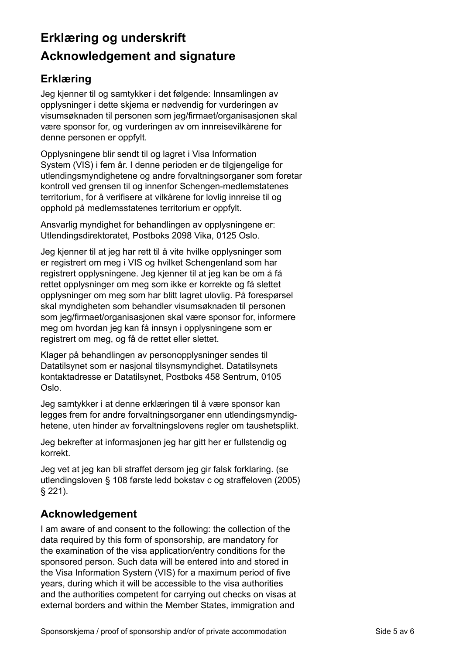# **Erklæring og underskrift Acknowledgement and signature**

## **Erklæring**

Jeg kjenner til og samtykker i det følgende: Innsamlingen av opplysninger i dette skjema er nødvendig for vurderingen av visumsøknaden til personen som jeg/firmaet/organisasjonen skal være sponsor for, og vurderingen av om innreisevilkårene for denne personen er oppfylt.

Opplysningene blir sendt til og lagret i Visa Information System (VIS) i fem år. I denne perioden er de tilgjengelige for utlendingsmyndighetene og andre forvaltningsorganer som foretar kontroll ved grensen til og innenfor Schengen-medlemstatenes territorium, for å verifisere at vilkårene for lovlig innreise til og opphold på medlemsstatenes territorium er oppfylt.

Ansvarlig myndighet for behandlingen av opplysningene er: Utlendingsdirektoratet, Postboks 2098 Vika, 0125 Oslo.

Jeg kjenner til at jeg har rett til å vite hvilke opplysninger som er registrert om meg i VIS og hvilket Schengenland som har registrert opplysningene. Jeg kjenner til at jeg kan be om å få rettet opplysninger om meg som ikke er korrekte og få slettet opplysninger om meg som har blitt lagret ulovlig. På forespørsel skal myndigheten som behandler visumsøknaden til personen som jeg/firmaet/organisasjonen skal være sponsor for, informere meg om hvordan jeg kan få innsyn i opplysningene som er registrert om meg, og få de rettet eller slettet.

Klager på behandlingen av personopplysninger sendes til Datatilsynet som er nasjonal tilsynsmyndighet. Datatilsynets kontaktadresse er Datatilsynet, Postboks 458 Sentrum, 0105 Oslo.

Jeg samtykker i at denne erklæringen til å være sponsor kan legges frem for andre forvaltningsorganer enn utlendingsmyndighetene, uten hinder av forvaltningslovens regler om taushetsplikt.

Jeg bekrefter at informasjonen jeg har gitt her er fullstendig og korrekt.

Jeg vet at jeg kan bli straffet dersom jeg gir falsk forklaring. (se utlendingsloven § 108 første ledd bokstav c og straffeloven (2005) § 221).

### **Acknowledgement**

I am aware of and consent to the following: the collection of the data required by this form of sponsorship, are mandatory for the examination of the visa application/entry conditions for the sponsored person. Such data will be entered into and stored in the Visa Information System (VIS) for a maximum period of five years, during which it will be accessible to the visa authorities and the authorities competent for carrying out checks on visas at external borders and within the Member States, immigration and